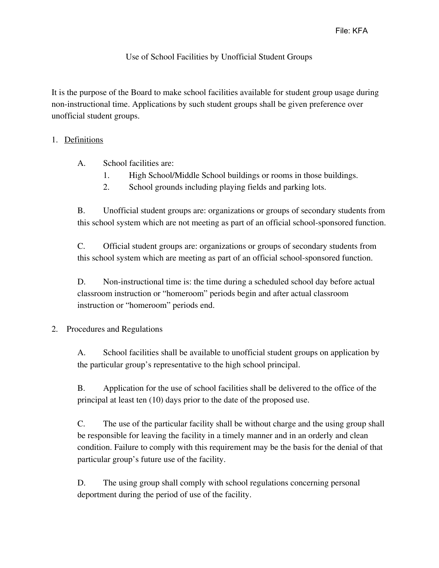## Use of School Facilities by Unofficial Student Groups

It is the purpose of the Board to make school facilities available for student group usage during non-instructional time. Applications by such student groups shall be given preference over unofficial student groups.

## 1. Definitions

- A. School facilities are:
	- 1. High School/Middle School buildings or rooms in those buildings.
	- 2. School grounds including playing fields and parking lots.

B. Unofficial student groups are: organizations or groups of secondary students from this school system which are not meeting as part of an official school-sponsored function.

C. Official student groups are: organizations or groups of secondary students from this school system which are meeting as part of an official school-sponsored function.

D. Non-instructional time is: the time during a scheduled school day before actual classroom instruction or "homeroom" periods begin and after actual classroom instruction or "homeroom" periods end.

## 2. Procedures and Regulations

A. School facilities shall be available to unofficial student groups on application by the particular group's representative to the high school principal.

B. Application for the use of school facilities shall be delivered to the office of the principal at least ten (10) days prior to the date of the proposed use.

C. The use of the particular facility shall be without charge and the using group shall be responsible for leaving the facility in a timely manner and in an orderly and clean condition. Failure to comply with this requirement may be the basis for the denial of that particular group's future use of the facility.

D. The using group shall comply with school regulations concerning personal deportment during the period of use of the facility.